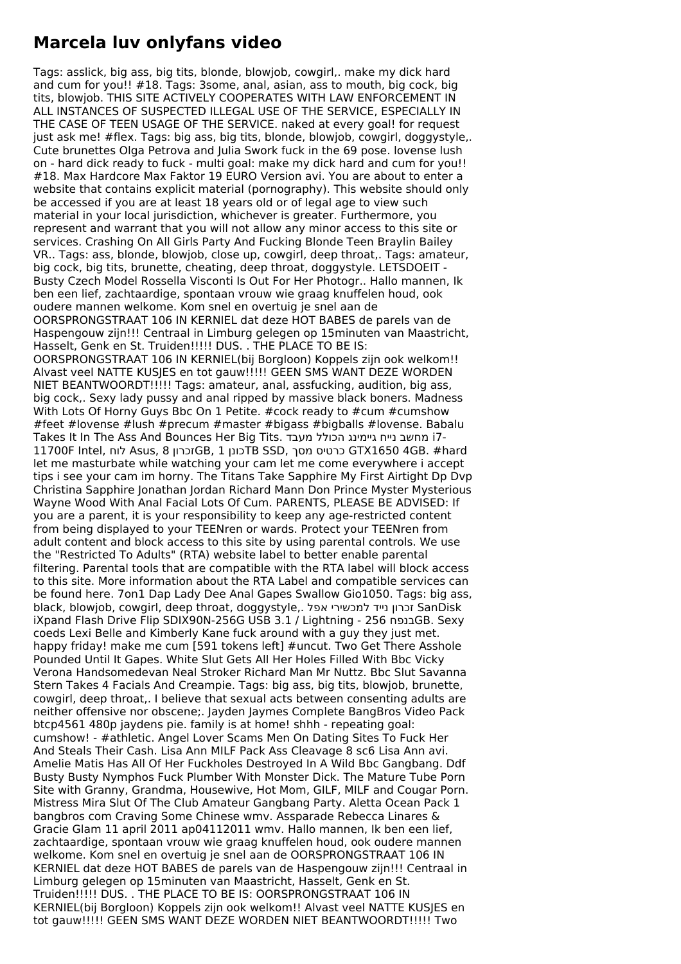## **Marcela luv onlyfans video**

Tags: asslick, big ass, big tits, blonde, blowjob, cowgirl,. make my dick hard and cum for you!! #18. Tags: 3some, anal, asian, ass to mouth, big cock, big tits, blowjob. THIS SITE ACTIVELY COOPERATES WITH LAW ENFORCEMENT IN ALL INSTANCES OF SUSPECTED ILLEGAL USE OF THE SERVICE, ESPECIALLY IN THE CASE OF TEEN USAGE OF THE SERVICE. naked at every goal! for request just ask me! #flex. Tags: big ass, big tits, blonde, blowjob, cowgirl, doggystyle,. Cute brunettes Olga Petrova and Julia Swork fuck in the 69 pose. lovense lush on - hard dick ready to fuck - multi goal: make my dick hard and cum for you!! #18. Max Hardcore Max Faktor 19 EURO Version avi. You are about to enter a website that contains explicit material (pornography). This website should only be accessed if you are at least 18 years old or of legal age to view such material in your local jurisdiction, whichever is greater. Furthermore, you represent and warrant that you will not allow any minor access to this site or services. Crashing On All Girls Party And Fucking Blonde Teen Braylin Bailey VR.. Tags: ass, blonde, blowjob, close up, cowgirl, deep throat,. Tags: amateur, big cock, big tits, brunette, cheating, deep throat, doggystyle. LETSDOEIT - Busty Czech Model Rossella Visconti Is Out For Her Photogr.. Hallo mannen, Ik ben een lief, zachtaardige, spontaan vrouw wie graag knuffelen houd, ook oudere mannen welkome. Kom snel en overtuig je snel aan de OORSPRONGSTRAAT 106 IN KERNIEL dat deze HOT BABES de parels van de Haspengouw zijn!!! Centraal in Limburg gelegen op 15minuten van Maastricht, Hasselt, Genk en St. Truiden!!!!! DUS. . THE PLACE TO BE IS: OORSPRONGSTRAAT 106 IN KERNIEL(bij Borgloon) Koppels zijn ook welkom!! Alvast veel NATTE KUSJES en tot gauw!!!!! GEEN SMS WANT DEZE WORDEN NIET BEANTWOORDT!!!!! Tags: amateur, anal, assfucking, audition, big ass, big cock,. Sexy lady pussy and anal ripped by massive black boners. Madness With Lots Of Horny Guys Bbc On 1 Petite. #cock ready to #cum #cumshow #feet #lovense #lush #precum #master #bigass #bigballs #lovense. Babalu Takes It In The Ass And Bounces Her Big Tits. מעבד הכולל גיימינג נייח מחשב i7- 11700F Intel, לוח Asus, 8 זכרוןGB, 1 כונןTB SSD, מסך כרטיס GTX1650 4GB. #hard let me masturbate while watching your cam let me come everywhere i accept tips i see your cam im horny. The Titans Take Sapphire My First Airtight Dp Dvp Christina Sapphire Jonathan Jordan Richard Mann Don Prince Myster Mysterious Wayne Wood With Anal Facial Lots Of Cum. PARENTS, PLEASE BE ADVISED: If you are a parent, it is your responsibility to keep any age-restricted content from being displayed to your TEENren or wards. Protect your TEENren from adult content and block access to this site by using parental controls. We use the "Restricted To Adults" (RTA) website label to better enable parental filtering. Parental tools that are compatible with the RTA label will block access to this site. More information about the RTA Label and compatible services can be found here. 7on1 Dap Lady Dee Anal Gapes Swallow Gio1050. Tags: big ass, black, blowjob, cowgirl, deep throat, doggystyle,. אפל למכשירי נייד זכרון SanDisk iXpand Flash Drive Flip SDIX90N-256G USB 3.1 / Lightning - 256 בנפח coeds Lexi Belle and Kimberly Kane fuck around with a guy they just met. happy friday! make me cum [591 tokens left] #uncut. Two Get There Asshole Pounded Until It Gapes. White Slut Gets All Her Holes Filled With Bbc Vicky Verona Handsomedevan Neal Stroker Richard Man Mr Nuttz. Bbc Slut Savanna Stern Takes 4 Facials And Creampie. Tags: big ass, big tits, blowjob, brunette, cowgirl, deep throat,. I believe that sexual acts between consenting adults are neither offensive nor obscene;. Jayden Jaymes Complete BangBros Video Pack btcp4561 480p jaydens pie. family is at home! shhh - repeating goal: cumshow! - #athletic. Angel Lover Scams Men On Dating Sites To Fuck Her And Steals Their Cash. Lisa Ann MILF Pack Ass Cleavage 8 sc6 Lisa Ann avi. Amelie Matis Has All Of Her Fuckholes Destroyed In A Wild Bbc Gangbang. Ddf Busty Busty Nymphos Fuck Plumber With Monster Dick. The Mature Tube Porn Site with Granny, Grandma, Housewive, Hot Mom, GILF, MILF and Cougar Porn. Mistress Mira Slut Of The Club Amateur Gangbang Party. Aletta Ocean Pack 1 bangbros com Craving Some Chinese wmv. Assparade Rebecca Linares & Gracie Glam 11 april 2011 ap04112011 wmv. Hallo mannen, Ik ben een lief, zachtaardige, spontaan vrouw wie graag knuffelen houd, ook oudere mannen welkome. Kom snel en overtuig je snel aan de OORSPRONGSTRAAT 106 IN KERNIEL dat deze HOT BABES de parels van de Haspengouw zijn!!! Centraal in Limburg gelegen op 15minuten van Maastricht, Hasselt, Genk en St. Truiden!!!!! DUS. . THE PLACE TO BE IS: OORSPRONGSTRAAT 106 IN KERNIEL(bij Borgloon) Koppels zijn ook welkom!! Alvast veel NATTE KUSJES en tot gauw!!!!! GEEN SMS WANT DEZE WORDEN NIET BEANTWOORDT!!!!! Two